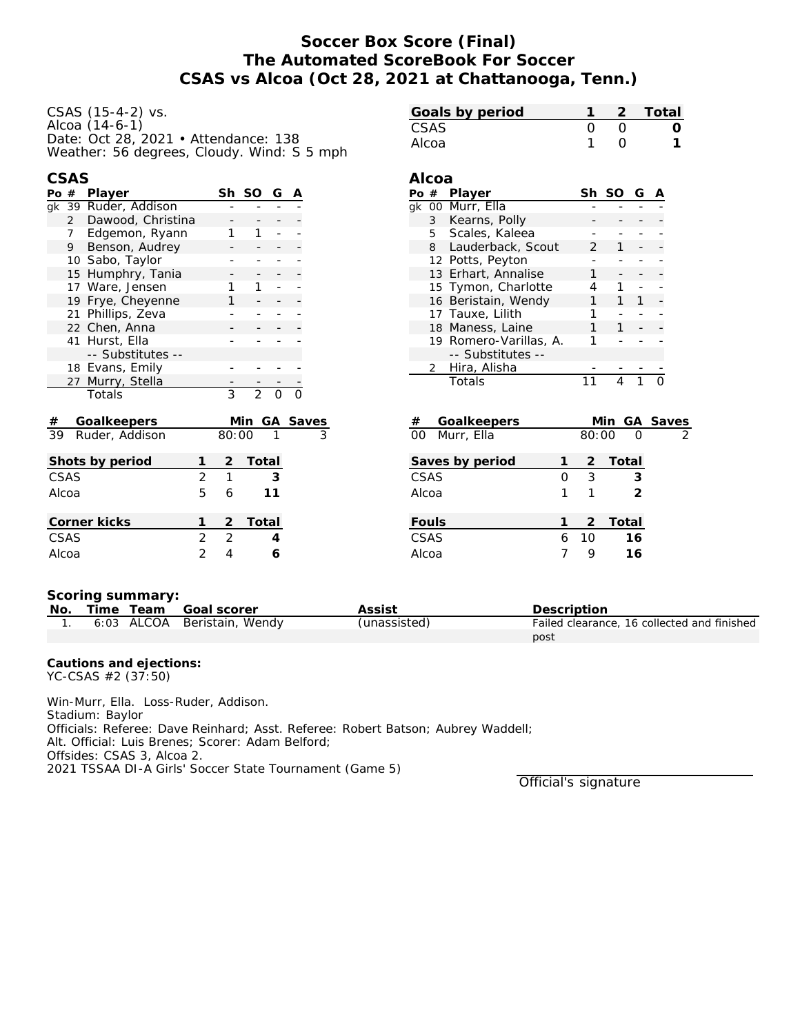# **Soccer Box Score (Final) The Automated ScoreBook For Soccer CSAS vs Alcoa (Oct 28, 2021 at Chattanooga, Tenn.)**

| CSAS (15-4-2) vs.                          |  |
|--------------------------------------------|--|
| Alcoa (14-6-1)                             |  |
| Date: Oct 28, 2021 • Attendance: 138       |  |
| Weather: 56 degrees, Cloudy. Wind: S 5 mph |  |

| ٧ | ۰. |
|---|----|

| Po #  |    | Player               |                |       | Sh SO          | G        | Α        |  |  |
|-------|----|----------------------|----------------|-------|----------------|----------|----------|--|--|
|       |    | gk 39 Ruder, Addison |                |       |                |          |          |  |  |
|       |    | 2 Dawood, Christina  |                |       |                |          |          |  |  |
|       |    | 7 Edgemon, Ryann     |                |       | 1              |          |          |  |  |
|       | 9  | Benson, Audrey       |                |       |                |          |          |  |  |
|       |    | 10 Sabo, Taylor      |                |       |                |          |          |  |  |
|       | 15 | Humphry, Tania       |                |       |                |          |          |  |  |
|       |    | 17 Ware, Jensen      |                |       | 1              |          |          |  |  |
|       |    | 19 Frye, Cheyenne    |                | 1     |                |          |          |  |  |
|       |    | 21 Phillips, Zeva    |                |       |                |          |          |  |  |
|       |    | 22 Chen, Anna        |                |       |                |          |          |  |  |
|       |    | 41 Hurst, Ella       |                |       |                |          |          |  |  |
|       |    | -- Substitutes --    |                |       |                |          |          |  |  |
|       |    | 18 Evans, Emily      |                |       |                |          |          |  |  |
|       |    | 27 Murry, Stella     |                |       |                |          |          |  |  |
|       |    | Totals               |                | 3     | $\overline{2}$ | $\Omega$ |          |  |  |
|       |    |                      |                |       |                |          |          |  |  |
| #     |    | Goalkeepers          |                |       | Min            |          | GA Saves |  |  |
| 39    |    | Ruder, Addison       |                | 80:00 |                |          |          |  |  |
|       |    |                      |                |       |                |          |          |  |  |
|       |    | Shots by period      | 1              | 2     | Total          |          |          |  |  |
| CSAS  |    |                      | $\overline{2}$ | 1     |                | 3        |          |  |  |
| Alcoa |    |                      | 5              | 6     |                | 11       |          |  |  |
|       |    |                      |                |       |                |          |          |  |  |

| Shots by period |               |               | 2 Total |
|-----------------|---------------|---------------|---------|
| CSAS            | 2             |               | 3       |
| Alcoa           | 5.            | 6             | 11      |
|                 |               |               |         |
| Corner kicks    |               |               | 2 Total |
| CSAS            | $\mathcal{P}$ | $\mathcal{L}$ |         |
| Alcoa           |               |               |         |

| Goals by period |  | 2 Total |
|-----------------|--|---------|
| <b>CSAS</b>     |  |         |
| Alcoa           |  |         |

### **Alcoa**

| Po # | Player                 |               | Sh SO | G |  |
|------|------------------------|---------------|-------|---|--|
|      | gk 00 Murr, Ella       |               |       |   |  |
| 3    | Kearns, Polly          |               |       |   |  |
|      | 5 Scales, Kaleea       |               |       |   |  |
| 8    | Lauderback, Scout      | $\mathcal{P}$ |       |   |  |
|      | 12 Potts, Peyton       |               |       |   |  |
|      | 13 Erhart, Annalise    |               |       |   |  |
|      | 15 Tymon, Charlotte    |               |       |   |  |
|      | 16 Beristain, Wendy    |               |       |   |  |
|      | 17 Tauxe, Lilith       |               |       |   |  |
|      | 18 Maness, Laine       |               |       |   |  |
|      | 19 Romero-Varillas, A. |               |       |   |  |
|      | -- Substitutes --      |               |       |   |  |
|      | 2 Hira, Alisha         |               |       |   |  |
|      | Totals                 |               |       |   |  |
|      |                        |               |       |   |  |

| #<br>Goalkeepers |   |       | Min GA Saves  |   |
|------------------|---|-------|---------------|---|
| 00 Murr, Ella    |   | 80:00 | ∩             | 2 |
| Saves by period  |   |       | 2 Total       |   |
| CSAS             | Ω | 3     | 3             |   |
| Alcoa            |   |       | $\mathcal{P}$ |   |
| Fouls            |   | 2     | Total         |   |
| CSAS             | 6 | 10    | 16            |   |
| Alcoa            |   |       | 16            |   |
|                  |   |       |               |   |

### **Scoring summary:**

| No. |  | Time Team Goal scorer       | Assist       | Description                                 |
|-----|--|-----------------------------|--------------|---------------------------------------------|
|     |  | 6:03 ALCOA Beristain, Wendy | (unassisted) | Failed clearance, 16 collected and finished |
|     |  |                             |              | post                                        |

**Cautions and ejections:** YC-CSAS #2 (37:50)

Win-Murr, Ella. Loss-Ruder, Addison. Stadium: Baylor Officials: Referee: Dave Reinhard; Asst. Referee: Robert Batson; Aubrey Waddell; Alt. Official: Luis Brenes; Scorer: Adam Belford; Offsides: CSAS 3, Alcoa 2. 2021 TSSAA DI-A Girls' Soccer State Tournament (Game 5)

Official's signature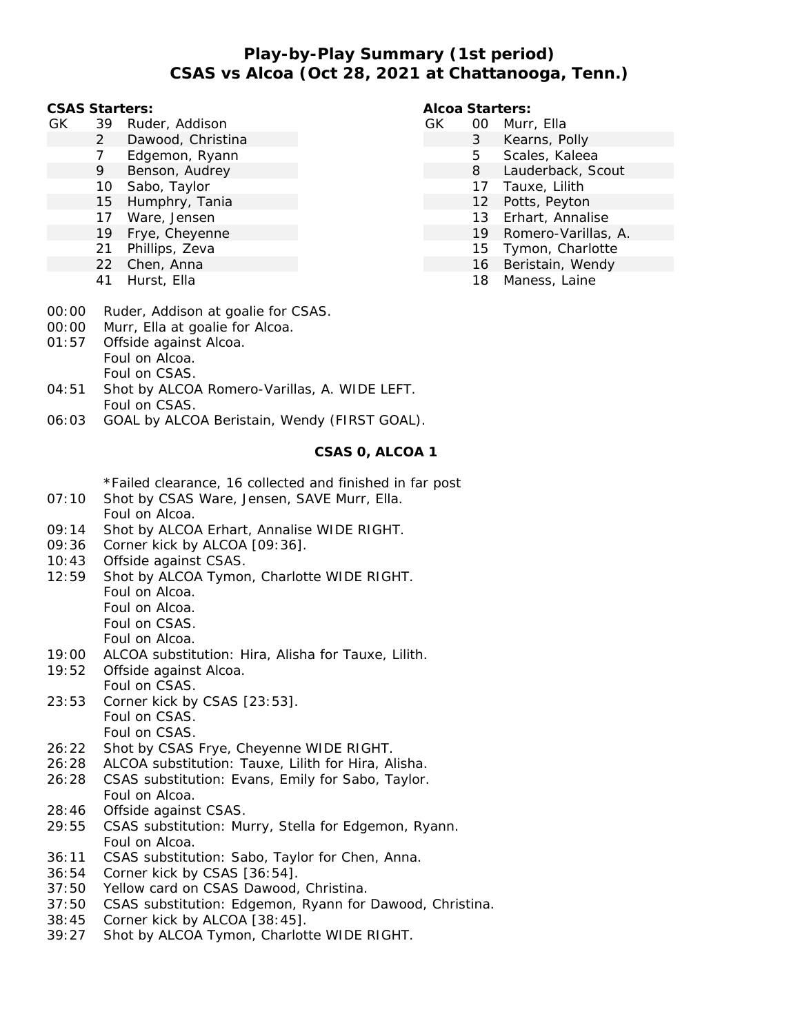# **Play-by-Play Summary (1st period) CSAS vs Alcoa (Oct 28, 2021 at Chattanooga, Tenn.)**

#### **CSAS Starters:**

- GK 39 Ruder, Addison
	- 2 Dawood, Christina
	- 7 Edgemon, Ryann
	- 9 Benson, Audrey
	- 10 Sabo, Taylor
	- 15 Humphry, Tania
	- 17 Ware, Jensen
	- 19 Frye, Cheyenne
	- 21 Phillips, Zeva
	- 22 Chen, Anna
	- 41 Hurst, Ella

### **Alcoa Starters:**

- GK 00 Murr, Ella
	- 3 Kearns, Polly
		- 5 Scales, Kaleea
		- 8 Lauderback, Scout
		- 17 Tauxe, Lilith
		- 12 Potts, Peyton
		- 13 Erhart, Annalise
		- 19 Romero-Varillas, A.
		- 15 Tymon, Charlotte
		- 16 Beristain, Wendy
		- 18 Maness, Laine

- 00:00 Ruder, Addison at goalie for CSAS.
- 00:00 Murr, Ella at goalie for Alcoa.
- 01:57 Offside against Alcoa. Foul on Alcoa. Foul on CSAS.
- 04:51 Shot by ALCOA Romero-Varillas, A. WIDE LEFT. Foul on CSAS.
- 06:03 GOAL by ALCOA Beristain, Wendy (FIRST GOAL).

### **CSAS 0, ALCOA 1**

\*Failed clearance, 16 collected and finished in far post

- 07:10 Shot by CSAS Ware, Jensen, SAVE Murr, Ella. Foul on Alcoa.
- 09:14 Shot by ALCOA Erhart, Annalise WIDE RIGHT.
- 09:36 Corner kick by ALCOA [09:36].
- 10:43 Offside against CSAS.
- 12:59 Shot by ALCOA Tymon, Charlotte WIDE RIGHT. Foul on Alcoa. Foul on Alcoa. Foul on CSAS. Foul on Alcoa.
- 19:00 ALCOA substitution: Hira, Alisha for Tauxe, Lilith.
- 19:52 Offside against Alcoa. Foul on CSAS.
- 23:53 Corner kick by CSAS [23:53]. Foul on CSAS. Foul on CSAS.
- 26:22 Shot by CSAS Frye, Cheyenne WIDE RIGHT.
- 26:28 ALCOA substitution: Tauxe, Lilith for Hira, Alisha.
- 26:28 CSAS substitution: Evans, Emily for Sabo, Taylor. Foul on Alcoa.
- 28:46 Offside against CSAS.
- 29:55 CSAS substitution: Murry, Stella for Edgemon, Ryann. Foul on Alcoa.
- 36:11 CSAS substitution: Sabo, Taylor for Chen, Anna.
- 36:54 Corner kick by CSAS [36:54].
- 37:50 Yellow card on CSAS Dawood, Christina.
- 37:50 CSAS substitution: Edgemon, Ryann for Dawood, Christina.
- 38:45 Corner kick by ALCOA [38:45].
- 39:27 Shot by ALCOA Tymon, Charlotte WIDE RIGHT.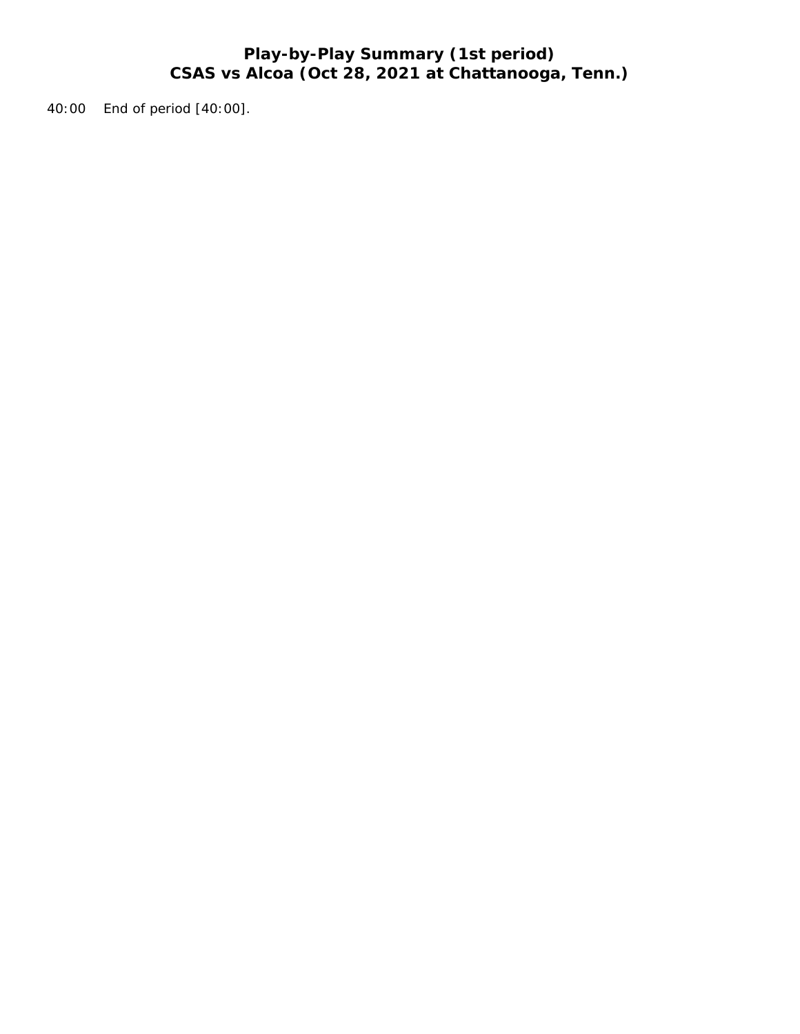# **Play-by-Play Summary (1st period) CSAS vs Alcoa (Oct 28, 2021 at Chattanooga, Tenn.)**

40:00 End of period [40:00].